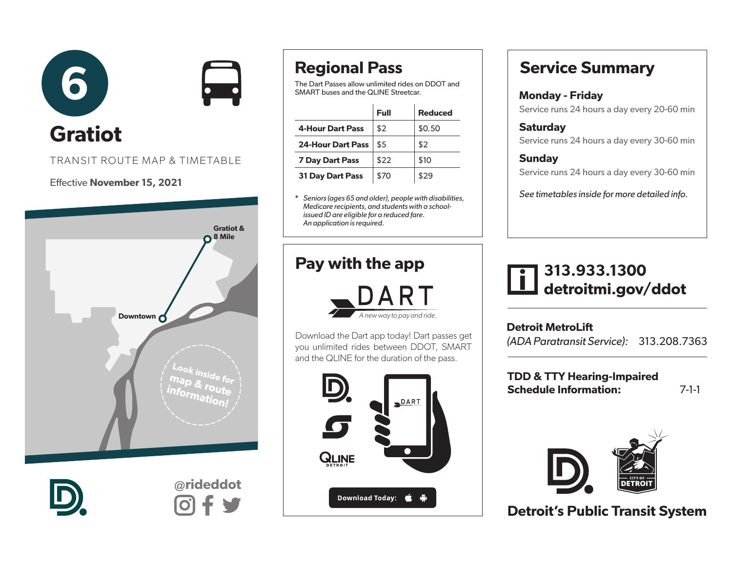

#### TRANSIT ROUTE MAP & TIMETABLE

#### Effective November 15, 2021





@rideddot

### Regional Pass

The Dart Passes allow unlimited rides on DDOT and SMART buses and the QLINE Streetcar.

|                          | Full | <b>Reduced</b> |
|--------------------------|------|----------------|
| <b>4-Hour Dart Pass</b>  | \$2  | \$0.50         |
| <b>24-Hour Dart Pass</b> | \$5  | \$2            |
| <b>7 Day Dart Pass</b>   | \$22 | \$10           |
| <b>31 Day Dart Pass</b>  | \$70 | \$29           |

\* *Seniors (ages 65 and older), people with disabilities, Medicare recipients, and students with a schoolissued ID are eligible for a reduced fare. An application is required.* 

### Pay with the app



Download the Dart app today! Dart passes get you unlimited rides between DDOT, SMART and the QLINE for the duration of the pass.



### Service Summary

### Monday - Friday

Service runs 24 hours a day every 20-60 min

**Saturdav** Service runs 24 hours a day every 30-60 min

#### **Sunday** Service runs 24 hours a day every 30-60 min

*See timetables inside for more detailed info.*

### 313.933.1300 detroitmi.gov/ddot

Detroit MetroLift *(ADA Paratransit Service):* 313.208.7363

TDD & TTY Hearing-Impaired Schedule Information: 7-1-1



Detroit's Public Transit System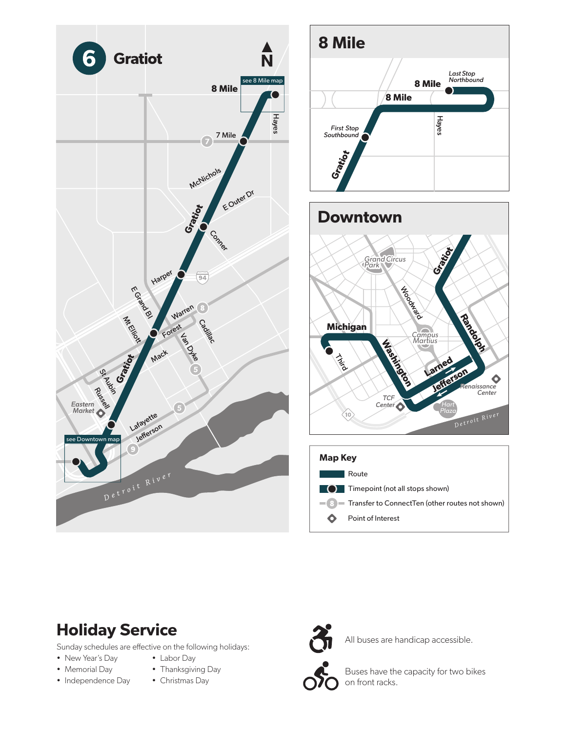







## Holiday Service

Sunday schedules are effective on the following holidays:

- New Year's Day
- Memorial Day
- Independence Day
- Labor Day • Thanksgiving Day
- Christmas Day



All buses are handicap accessible.



Buses have the capacity for two bikes on front racks.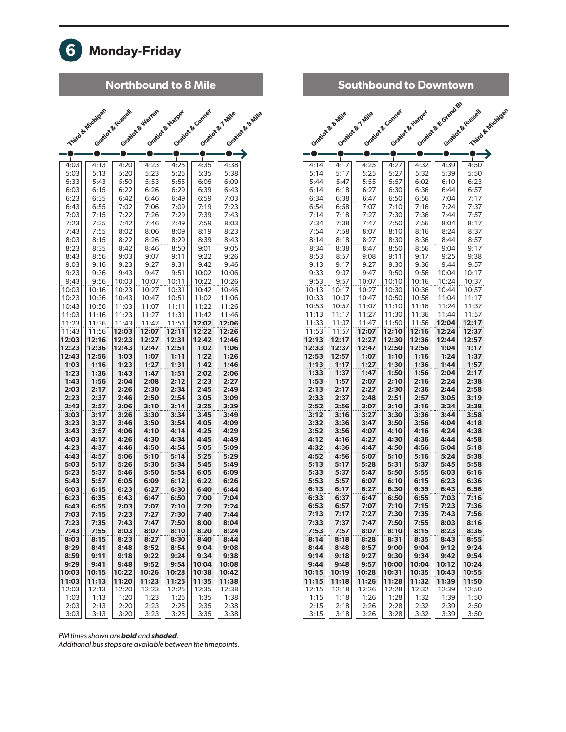

#### Northbound to 8 Mile

|                | Third & Michigan | Gration & Russell | Gration & Warter | Gration & Hiarper | Gration & Conner | Gration & 7 Mile | Gration & Bo Mile |
|----------------|------------------|-------------------|------------------|-------------------|------------------|------------------|-------------------|
|                |                  |                   |                  |                   |                  |                  |                   |
|                |                  |                   |                  |                   |                  |                  |                   |
| 4:03           | 4:13             | 4:20              | 4:23             | 4:25              | 4:35             | 4:38             |                   |
| 5:03           | 5:13             | 5:20              | 5:23             | 5:25              | 5:35             | 5:38             |                   |
| 5:33           | 5:43             | 5:50              | 5:53             | 5:55              | 6:05             | 6:09             |                   |
| 6:03           | 6:15             | 6:22              | 6:26             | 6:29              | 6:39             | 6:43             |                   |
| 6:23           | 6:35             | 6:42              | 6:46             | 6:49              | 6:59             | 7:03             |                   |
| 6:43           | 6:55             | 7:02              | 7:06             | 7:09              | 7:19             | 7:23             |                   |
| 7:03           | 7:15             | 7:22              | 7:26             | 7:29              | 7:39             | 7:43             |                   |
| 7:23           | 7:35             | 7:42              | 7:46             | 7:49              | 7:59             | 8:03             |                   |
| 7:43           | 7:55<br>8:15     | 8:02<br>8:22      | 8:06             | 8:09              | 8:19<br>8:39     | 8:23<br>8:43     |                   |
| 8:03<br>8:23   | 8:35             | 8:42              | 8:26<br>8:46     | 8:29<br>8:50      | 9:01             | 9:05             |                   |
| 8:43           | 8:56             | 9:03              | 9:07             | 9:11              | 9:22             | 9:26             |                   |
| 9:03           | 9:16             | 9:23              | 9:27             | 9:31              | 9:42             | 9:46             |                   |
| 9:23           | 9:36             | 9:43              | 9:47             | 9:51              | 10:02            | 10:06            |                   |
| 9:43           | 9:56             | 10:03             | 10:07            | 10:11             | 10:22            | 10:26            |                   |
| 10:03          | 10:16            | 10:23             | 10:27            | 10:31             | 10:42            | 10:46            |                   |
| 10:23          | 10:36            | 10:43             | 10:47            | 10:51             | 11:02            | 11:06            |                   |
| 10:43          | 10:56            | 11:03             | 11:07            | 11:11             | 11:22            | 11:26            |                   |
| 11:03          | 11:16            | 11:23             | 11:27            | 11:31             | 11:42            | 11:46            |                   |
| 11:23          | 11:36            | 11:43             | 11:47            | 11:51             | 12:02            | 12:06            |                   |
| 11:43          | 11:56            | 12:03             | 12:07            | 12:11             | 12:22            | 12:26            |                   |
| 12:03          | 12:16            | 12:23             | 12:27            | 12:31             | 12:42            | 12:46            |                   |
| 12:23<br>12:43 | 12:36<br>12:56   | 12:43<br>1:03     | 12:47<br>1:07    | 12:51<br>1:11     | 1:02<br>1:22     | 1:06<br>1:26     |                   |
| 1:03           | 1:16             | 1:23              | 1:27             | 1:31              | 1:42             | 1:46             |                   |
| 1:23           | 1:36             | 1:43              | 1:47             | 1:51              | 2:02             | 2:06             |                   |
| 1:43           | 1:56             | 2:04              | 2:08             | 2:12              | 2:23             | 2:27             |                   |
| 2:03           | 2:17             | 2:26              | 2:30             | 2:34              | 2:45             | 2:49             |                   |
| 2:23           | 2:37             | 2:46              | 2:50             | 2:54              | 3:05             | 3:09             |                   |
| 2:43           | 2:57             | 3:06              | 3:10             | 3:14              | 3:25             | 3:29             |                   |
| 3:03           | 3:17             | 3:26              | 3:30             | 3:34              | 3:45             | 3:49             |                   |
| 3:23           | 3:37             | 3:46              | 3:50             | 3:54              | 4:05             | 4:09             |                   |
| 3:43           | 3:57             | 4:06              | 4:10             | 4:14              | 4:25             | 4:29             |                   |
| 4:03           | 4:17             | 4:26              | 4:30             | 4:34              | 4:45             | 4:49             |                   |
| 4:23           | 4:37             | 4:46              | 4:50             | 4:54              | 5:05             | 5:09             |                   |
| 4:43<br>5:03   | 4:57<br>5:17     | 5:06<br>5:26      | 5:10<br>5:30     | 5:14<br>5:34      | 5:25<br>5:45     | 5:29<br>5:49     |                   |
| 5:23           | 5:37             | 5:46              | 5:50             | 5:54              | 6:05             | 6:09             |                   |
| 5:43           | 5:57             | 6:05              | 6:09             | 6:12              | 6:22             | 6:26             |                   |
| 6:03           | 6:15             | 6:23              | 6:27             | 6:30              | 6:40             | 6:44             |                   |
| 6:23           | 6:35             | 6:43              | 6:47             | 6:50              | 7:00             | 7:04             |                   |
| 6:43           | 6:55             | 7:03              | 7:07             | 7:10              | 7:20             | 7:24             |                   |
| 7:03           | 7:15             | 7:23              | 7:27             | 7:30              | 7:40             | 7:44             |                   |
| 7:23           | 7:35             | 7:43              | 1:41             | 7:50              | 8:00             | 8:04             |                   |
| 7:43           | 7:55             | 8:03              | 8:07             | 8:10              | 8:20             | 8:24             |                   |
| 8:03           | 8:15             | 8:23              | 8:27             | 8:30              | 8:40             | 8:44             |                   |
| 8:29           | 8:41             | 8:48              | 8:52             | 8:54              | 9:04             | 9:08             |                   |
| 8:59           | 9:11             | 9:18              | 9:22             | 9:24              | 9:34<br>10:04    | 9:38             |                   |
| 9:29<br>10:03  | 9:41<br>10:15    | 9:48<br>10:22     | 9:52<br>10:26    | 9:54<br>10:28     | 10:38            | 10:08<br>10:42   |                   |
| 11:03          | 11:13            | 11:20             | 11:23            | 11:25             | 11:35            | 11:38            |                   |
| 12:03          | 12:13            | 12:20             | 12:23            | 12:25             | 12:35            | 12:38            |                   |
| 1:03           | 1:13             | 1:20              | 1:23             | 1:25              | 1:35             | 1:38             |                   |
| 2:03           | 2:13             | 2:20              | 2:23             | 2:25              | 2:35             | 2:38             |                   |
| 3:03           | 3:13             | 3:20              | 3:23             | 3:25              | 3:35             | 3:38             |                   |

|                |                   | <b>Southbound to Downtown</b> |                  |                   |                    |                    |                  |
|----------------|-------------------|-------------------------------|------------------|-------------------|--------------------|--------------------|------------------|
|                |                   |                               |                  |                   | Gration & Grand By |                    |                  |
|                | Gratiot & B. Mile | Gration & T Mile              | Gration & Conner | Gratiote & Harper |                    | Gratiote & Russell | Third & Michigan |
|                |                   |                               |                  |                   |                    |                    |                  |
|                |                   |                               |                  |                   |                    |                    |                  |
| $\mathbf{I}$   | $\mathbf{I}$      | $\mathbf{I}$                  | ┸                | $\perp$           | T                  |                    |                  |
| 4:14<br>5:14   | 4:17<br>5:17      | 4:25<br>5:25                  | 4:27<br>5:27     | 4:32<br>5:32      | 4:39<br>5:39       | 4:50<br>5:50       |                  |
| 5:44           | 5:47              | 5:55                          | 5:57             | 6:02              | 6:10               | 6:23               |                  |
| 6:14           | 6:18              | 6:27                          | 6:30             | 6:36              | 6:44               | 6:57               |                  |
| 6:34<br>6:54   | 6:38<br>6:58      | 6:47<br>7:07                  | 6:50<br>7:10     | 6:56<br>7:16      | 7:04<br>7:24       | 7:17<br>7:37       |                  |
| 7:14           | 7:18              | 7:27                          | 7:30             | 7:36              | 7:44               | 7:57               |                  |
| 7:34           | 7:38              | 7:47                          | 7:50             | 7:56              | 8:04               | 8:17               |                  |
| 7:54           | 7:58              | 8:07                          | 8:10             | 8:16              | 8:24               | 8:37               |                  |
| 8:14<br>8:34   | 8:18<br>8:38      | 8:27<br>8:47                  | 8:30<br>8:50     | 8:36<br>8:56      | 8:44<br>9:04       | 8:57<br>9:17       |                  |
| 8:53           | 8:57              | 9:08                          | 9:11             | 9:17              | 9:25               | 9:38               |                  |
| 9:13           | 9:17              | 9:27                          | 9:30             | 9:36              | 9:44               | 9:57               |                  |
| 9:33           | 9:37              | 9:47                          | 9:50             | 9:56              | 10:04              | 10:17              |                  |
| 9:53<br>10:13  | 9:57<br>10:17     | 10:07<br>10:27                | 10:10<br>10:30   | 10:16<br>10:36    | 10:24<br>10:44     | 10:37<br>10:57     |                  |
| 10:33          | 10:37             | 10:47                         | 10:50            | 10:56             | 11:04              | 11:17              |                  |
| 10:53          | 10:57             | 11:07                         | 11:10            | 11:16             | 11:24              | 11:37              |                  |
| 11:13<br>11:33 | 11:17<br>11:37    | 11:27<br>11:47                | 11:30<br>11:50   | 11:36<br>11:56    | 11:44<br>12:04     | 11:57<br>12:17     |                  |
| 11:53          | 11:57             | 12:07                         | 12:10            | 12:16             | 12:24              | 12:37              |                  |
| 12:13          | 12:17             | 12:27                         | 12:30            | 12:36             | 12:44              | 12:57              |                  |
| 12:33          | 12:37             | 12:47                         | 12:50            | 12:56             | 1:04               | 1:17               |                  |
| 12:53<br>1:13  | 12:57<br>1:17     | 1:07<br>1:27                  | 1:10<br>1:30     | 1:16<br>1:36      | 1:24<br>1:44       | 1:37<br>1:57       |                  |
| 1:33           | 1:37              | 1:47                          | 1:50             | 1:56              | 2:04               | 2:17               |                  |
| 1:53           | 1:57              | 2:07                          | 2:10             | 2:16              | 2:24               | 2:38               |                  |
| 2:13<br>2:33   | 2:17<br>2:37      | 2:27<br>2:48                  | 2:30<br>2:51     | 2:36<br>2:57      | 2:44<br>3:05       | 2:58<br>3:19       |                  |
| 2:52           | 2:56              | 3:07                          | 3:10             | 3:16              | 3:24               | 3:38               |                  |
| 3:12           | 3:16              | 3:27                          | 3:30             | 3:36              | 3:44               | 3:58               |                  |
| 3:32           | 3:36              | 3:47                          | 3:50             | 3:56              | 4:04               | 4:18               |                  |
| 3:52<br>4:12   | 3:56<br>4:16      | 4:07<br>4:27                  | 4:10<br>4:30     | 4:16<br>4:36      | 4:24<br>4:44       | 4:38<br>4:58       |                  |
| 4:32           | 4:36              | 4:47                          | 4:50             | 4:56              | 5:04               | 5:18               |                  |
| 4:52           | 4:56              | 5:07                          | 5:10             | 5:16              | 5:24               | 5:38               |                  |
| 5:13<br>5:33   | 5:17<br>5:37      | 5:28<br>5:47                  | 5:31<br>5:50     | 5:37<br>5:55      | 5:45<br>6:03       | 5:58<br>6:16       |                  |
| 5:53           | 5:57              | 6:07                          | 6:10             | 6:15              | 6:23               | 6:36               |                  |
| 6:13           | 6:17              | 6:27                          | 6:30             | 6:35              | 6:43               | 6:56               |                  |
| 6:33           | 6:37              | 6:47                          | 6:50             | 6:55              | 7:03               | 7:16               |                  |
| 6:53<br>7:13   | 6:57<br>7:17      | 7:07<br>7:27                  | 7:10<br>7:30     | 7:15<br>7:35      | 7:23<br>7:43       | 7:36<br>7:56       |                  |
| 7:33           | 7:37              | 7:47                          | 7:50             | 7:55              | 8:03               | 8:16               |                  |
| 7:53           | 7:57              | 8:07                          | 8:10             | 8:15              | 8:23               | 8:36               |                  |
| 8:14<br>8:44   | 8:18<br>8:48      | 8:28<br>8:57                  | 8:31<br>9:00     | 8:35<br>9:04      | 8:43<br>9:12       | 8:55<br>9:24       |                  |
| 9:14           | 9:18              | 9:27                          | 9:30             | 9:34              | 9:42               | 9:54               |                  |
| 9:44           | 9:48              | 9:57                          | 10:00            | 10:04             | 10:12              | 10:24              |                  |
| 10:15          | 10:19             | 10:28                         | 10:31<br>11:28   | 10:35             | 10:43              | 10:55              |                  |
| 11:15<br>12:15 | 11:18<br>12:18    | 11:26<br>12:26                | 12:28            | 11:32<br>12:32    | 11:39<br>12:39     | 11:50<br>12:50     |                  |
| 1:15           | 1:18              | 1:26                          | 1:28             | 1:32              | 1:39               | 1:50               |                  |
| 2:15           | 2:18              | 2:26                          | 2:28             | 2:32              | 2:39               | 2:50               |                  |
| 3:15           | 3:18              | 3:26                          | 3:28             | 3:32              | 3:39               | 3:50               |                  |

*PM times shown are* bold *and* shaded*.* 

*Additional bus stops are available between the timepoints.*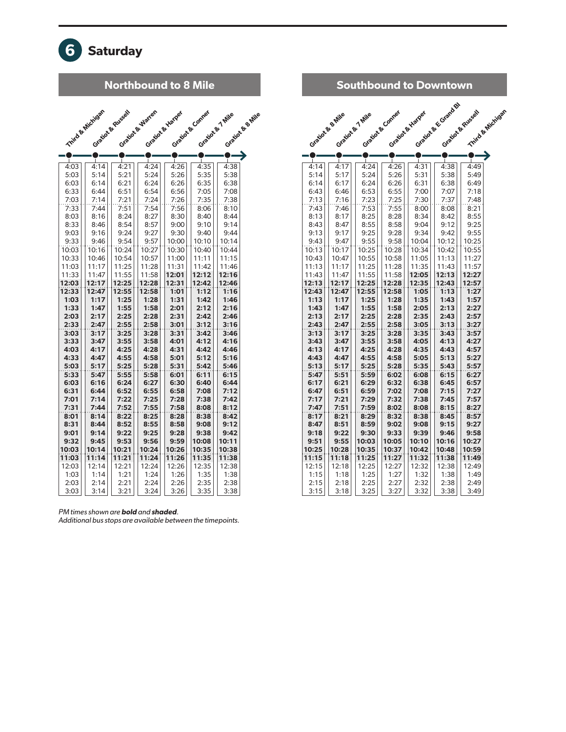

#### Northbound to 8 Mile Southbound to Downtown

|               | Third & Michigan | Gration & Russell | Gration & Warter | Gratio & Harper | Gration & Compar | Gration & 7 Mile | Grationa & Be Mile |
|---------------|------------------|-------------------|------------------|-----------------|------------------|------------------|--------------------|
|               | п                |                   | L                | п               |                  |                  |                    |
| 4:03          | 4:14             | 4:21              | 4:24             | 4:26            | 4:35             | 4:38             |                    |
| 5:03          | 5:14             | 5:21              | 5:24             | 5:26            | 5:35             | 5:38             |                    |
| 6:03          | 6:14             | 6:21              | 6:24             | 6:26            | 6:35             | 6:38             |                    |
| 6:33          | 6:44             | 6:51              | 6:54             | 6:56            | 7:05             | 7:08             |                    |
| 7:03          | 7:14             | 7:21              | 7:24             | 7:26            | 7:35             | 7:38             |                    |
| 7:33          | 7:44             | 7:51              | 7:54             | 7:56            | 8:06             | 8:10             |                    |
| 8:03          | 8:16             | 8:24              | 8:27             | 8:30            | 8:40             | 8:44             |                    |
| 8:33          | 8:46             | 8:54              | 8:57             | 9:00            | 9:10             | 9:14             |                    |
| 9:03          | 9:16             | 9:24              | 9:27             | 9:30            | 9:40             | 9:44             |                    |
| 9:33          | 9:46             | 9:54              | 9:57             | 10:00           | 10:10            | 10:14            |                    |
| 10:03         | 10:16            | 10:24             | 10:27            | 10:30           | 10:40            | 10:44            |                    |
| 10:33         | 10:46            | 10:54             | 10:57            | 11:00           | 11:11            | 11:15            |                    |
| 11:03         | 11:17            | 11:25             | 11:28            | 11:31           | 11:42            | 11:46            |                    |
| 11:33         | 11:47            | 11:55             | 11:58            | 12:01           | 12:12            | 12:16            |                    |
| 12:03         | 12:17            | 12:25             | 12:28            | 12:31           | 12:42            | 12:46            |                    |
| 12:33         | 12:47            | 12:55             | 12:58            | 1:01            | 1:12             | 1:16             |                    |
| 1:03          | 1:17             | 1:25              | 1:28             | 1:31            | 1:42             | 1:46             |                    |
| 1:33          | 1:47             | 1:55              | 1:58             | 2:01            | 2:12             | 2:16             |                    |
| 2:03          | 2:17             | 2:25              | 2:28             | 2:31            | 2:42             | 2:46             |                    |
| 2:33          | 2:47             | 2:55              | 2:58             | 3:01            | 3:12             | 3:16             |                    |
| 3:03          | 3:17             | 3:25              | 3:28             | 3:31            | 3:42             | 3:46             |                    |
| 3:33          | 3:47             | 3:55              | 3:58             | 4:01            | 4:12             | 4:16             |                    |
| 4:03          | 4:17             | 4:25              | 4:28             | 4:31            | 4:42             | 4:46             |                    |
| 4:33          | 4:47             | 4:55              | 4:58             | 5:01            | 5:12             | 5:16             |                    |
| 5:03          | 5:17             | 5:25              | 5:28             | 5:31            | 5:42             | 5:46             |                    |
| 5:33          | 5:47             | 5:55              | 5:58             | 6:01            | 6:11             | 6:15             |                    |
| 6:03          | 6:16             | 6:24              | 6:27             | 6:30            | 6:40             | 6:44             |                    |
| 6:31          | 6:44             | 6:52              | 6:55             | 6:58            | 7:08             | 7:12             |                    |
| 7:01          | 7:14             | 7:22              | 7:25             | 7:28            | 7:38             | 7:42             |                    |
| 7:31          | 7:44             | 7:52              | 7:55             | 7:58            | 8:08             | 8:12             |                    |
| 8:01          | 8:14             | 8:22              | 8:25             | 8:28            | 8:38             | 8:42             |                    |
| 8:31          | 8:44             | 8:52              | 8:55             | 8:58            | 9:08             | 9:12             |                    |
| 9:01          | 9:14             | 9:22              | 9:25             | 9:28            | 9:38             | 9:42             |                    |
| 9:32          | 9:45             | 9:53              | 9:56             | 9:59            | 10:08            | 10:11            |                    |
| 10:03         | 10:14            | 10:21             | 10:24            | 10:26           | 10:35            | 10:38            |                    |
| 11:03         | 11:14            | 11:21             | 11:24            | 11:26           | 11:35            | 11:38<br>12:38   |                    |
| 12:03<br>1:03 | 12:14<br>1:14    | 12:21<br>1:21     | 12:24<br>1:24    | 12:26<br>1:26   | 12:35<br>1:35    | 1:38             |                    |
| 2:03          | 2:14             | 2:21              |                  |                 | 2:35             | 2:38             |                    |
|               | 3:14             | 3:21              | 2:24<br>3:24     | 2:26            | 3:35             | 3:38             |                    |
| 3:03          |                  |                   |                  | 3:26            |                  |                  |                    |

#### Gration & E Grand Bl Gratiot & Russell Third & Michigan Gratiot & Conner Gration & Britis Gratiot & 7 Mile Gratiot & Harper Ó  $\bullet$  $\bullet$  $\bullet$ Ó  $\bullet$  $\bullet$ 4:14|| 4:17|| 4:24|| 4:26|| 4:31|| 4:38|| 4:49  $5:14 \mid 5:17 \mid 5:24 \mid 5:26 \mid 5:31 \mid 5:38 \mid 5:49$  $6:14$  |  $6:17$  |  $6:24$  |  $6:26$  |  $6:31$  |  $6:38$  |  $6:49$  $6:43 \mid | 6:46 \mid | 6:53 \mid | 6:55 \mid | 7:00 \mid | 7:07 \mid | 7:18$ 7:13 | | 7:16 | | 7:23 | | 7:25 | | 7:30 | | 7:37 | | 7:48 7:43 | 7:46 | 7:53 | 7:55 | 8:00 | 8:08 | 8:21  $8:13 \mid | 8:17 | | 8:25 | | 8:28 | | 8:34 | | 8:42 | | 8:55$ 8:43 | 8:47 | 8:55 | 8:58 | 9:04 | 9:12 | 9:25 9:13|| 9:17|| 9:25|| 9:28|| 9:34|| 9:42|| 9:55 9:43 | | 9:47 | | 9:55 | | 9:58 | | 10:04 | | 10:12 | | 10:25 10:13 | 10:17 | 10:25 | 10:28 | 10:34 | 10:42 | 10:55 10:43 | 10:47 | 10:55 | 10:58 | 11:05 | 11:13 | 11:27 11:13 | | 11:17 | | 11:25 | | 11:28 | | 11:35 | | 11:43 | | 11:57 11:43 | 11:47 | 11:55 | 11:58 | 12:05 | 12:13 | 12:27 12:13 12:17 12:25 12:28 12:35 12:43 12:57 12:43 | 12:47 | 12:55 | 12:58 | 1:05 | 1:13 | 1:27 1:13 | 1:17 | 1:25 | 1:28 | 1:35 | 1:43 | 1:57 1:43 | 1:47 | 1:55 | 1:58 | 2:05 | 2:13 | 2:27 2:13 | 2:17 | 2:25 | 2:28 | 2:35 | 2:43 | 2:57 2:43 | 2:47 | 2:55 | 2:58 | 3:05 | 3:13 | 3:27 3:13 3:17 3:25 3:28 3:35 3:43 3:57 3:43 3:47 3:55 3:58 4:05 4:13 4:27 4:13 | 4:17 | 4:25 | 4:28 | 4:35 | 4:43 | 4:57 4:43 | 4:47 | 4:55 | 4:58 | 5:05 | 5:13 | 5:27 5:13 | 5:17 | 5:25 | 5:28 | 5:35 | 5:43 | 5:57 5:47 | 5:51 | 5:59 | 6:02 | 6:08 | 6:15 | 6:27  $6:17$  6:21 6:29 6:32 6:38 6:45 6:57 6:47 | 6:51 | 6:59 | 7:02 | 7:08 | 7:15 | 7:27 7:17 7:21 7:29 7:32 7:38 7:45 7:57 7:47 | 7:51 | 7:59 | 8:02 | 8:08 | 8:15 | 8:27 8:17 | 8:21 | 8:29 | 8:32 | 8:38 | 8:45 | 8:57 8:47 | 8:51 | 8:59 | 9:02 | 9:08 | 9:15 | 9:27 9:18 9:22 9:30 9:33 9:39 9:46 9:58 9:51 | 9:55 | 10:03 | 10:05 | 10:10 | 10:16 | 10:27 10:25 10:28 10:35 10:37 10:42 10:48 10:59 11**:15** 11**:18** 11**:25** 11**:27** 11**:32** 11**:38** 11**:49** 12:15 12:18 12:25 12:27 12:32 12:38 12:49 12:15 | | 12:18 | | 12:25 | | 12:27 | | 12:32 | | 12:38 | | 12:49

1:15 | 1:18 | 1:25 | 1:27 | 1:32 | 1:38 | 1:49 2:15 || 2:18 || 2:25 || 2:27 || 2:32 || 2:38 || 2:49 3:15 | 3:18 | 3:25 | 3:27 | 3:32 | 3:38 | 3:49

*PM times shown are* bold *and* shaded*.* 

*Additional bus stops are available between the timepoints.*